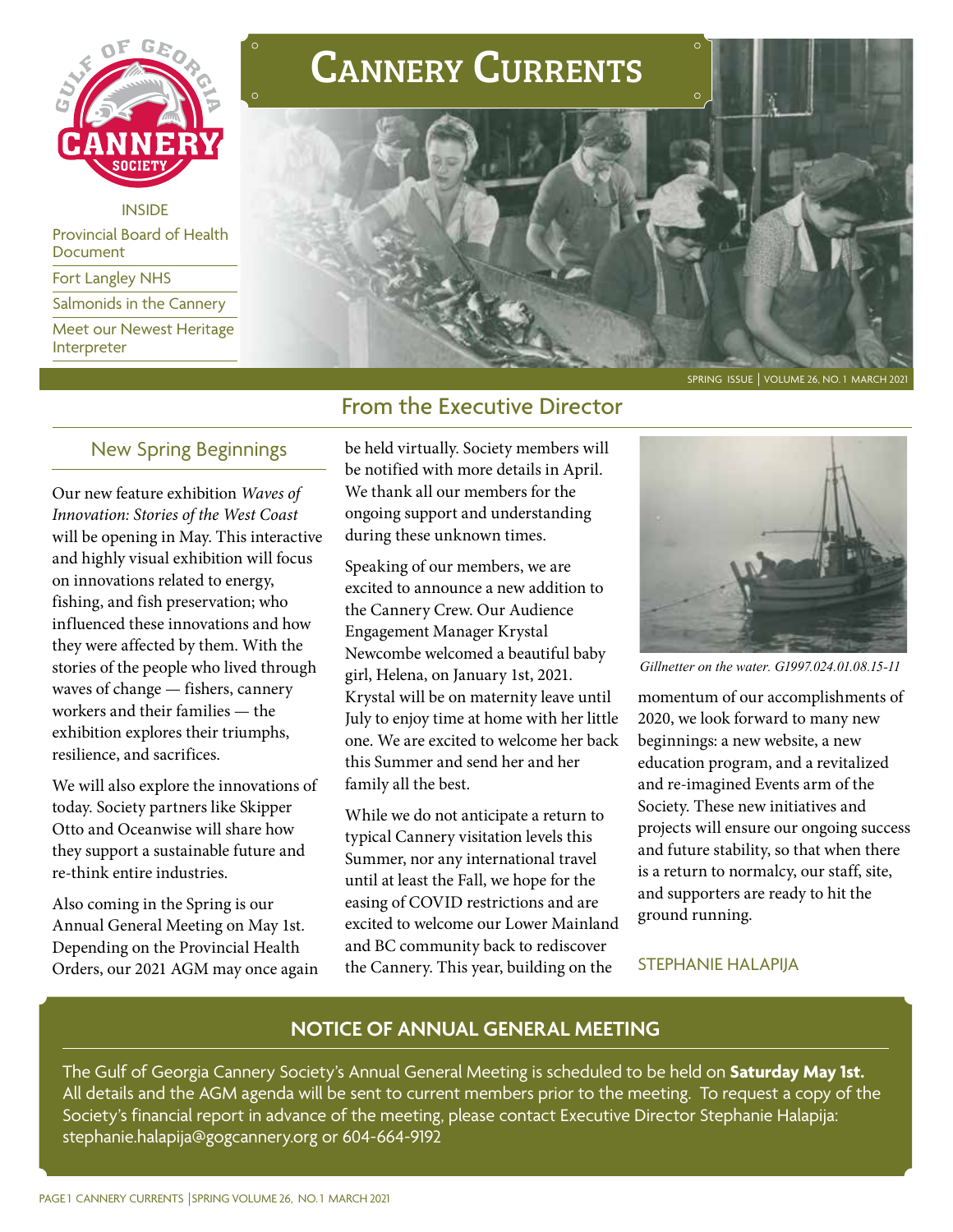

INSIDE

Provincial Board of Health Document

Fort Langley NHS

Salmonids in the Cannery

Meet our Newest Heritage Interpreter

# Cannery Currents



## From the Executive Director

## New Spring Beginnings

Our new feature exhibition *Waves of Innovation: Stories of the West Coast*  will be opening in May. This interactive and highly visual exhibition will focus on innovations related to energy, fishing, and fish preservation; who influenced these innovations and how they were affected by them. With the stories of the people who lived through waves of change — fishers, cannery workers and their families — the exhibition explores their triumphs, resilience, and sacrifices.

We will also explore the innovations of today. Society partners like Skipper Otto and Oceanwise will share how they support a sustainable future and re-think entire industries.

Also coming in the Spring is our Annual General Meeting on May 1st. Depending on the Provincial Health Orders, our 2021 AGM may once again be held virtually. Society members will be notified with more details in April. We thank all our members for the ongoing support and understanding during these unknown times.

Speaking of our members, we are excited to announce a new addition to the Cannery Crew. Our Audience Engagement Manager Krystal Newcombe welcomed a beautiful baby girl, Helena, on January 1st, 2021. Krystal will be on maternity leave until July to enjoy time at home with her little one. We are excited to welcome her back this Summer and send her and her family all the best.

While we do not anticipate a return to typical Cannery visitation levels this Summer, nor any international travel until at least the Fall, we hope for the easing of COVID restrictions and are excited to welcome our Lower Mainland and BC community back to rediscover the Cannery. This year, building on the



*Gillnetter on the water. G1997.024.01.08.15-11*

momentum of our accomplishments of 2020, we look forward to many new beginnings: a new website, a new education program, and a revitalized and re-imagined Events arm of the Society. These new initiatives and projects will ensure our ongoing success and future stability, so that when there is a return to normalcy, our staff, site, and supporters are ready to hit the ground running.

#### STEPHANIE HALAPIJA

## **NOTICE OF ANNUAL GENERAL MEETING**

The Gulf of Georgia Cannery Society's Annual General Meeting is scheduled to be held on **Saturday May 1st.**  All details and the AGM agenda will be sent to current members prior to the meeting. To request a copy of the Society's financial report in advance of the meeting, please contact Executive Director Stephanie Halapija: stephanie.halapija@gogcannery.org or 604-664-9192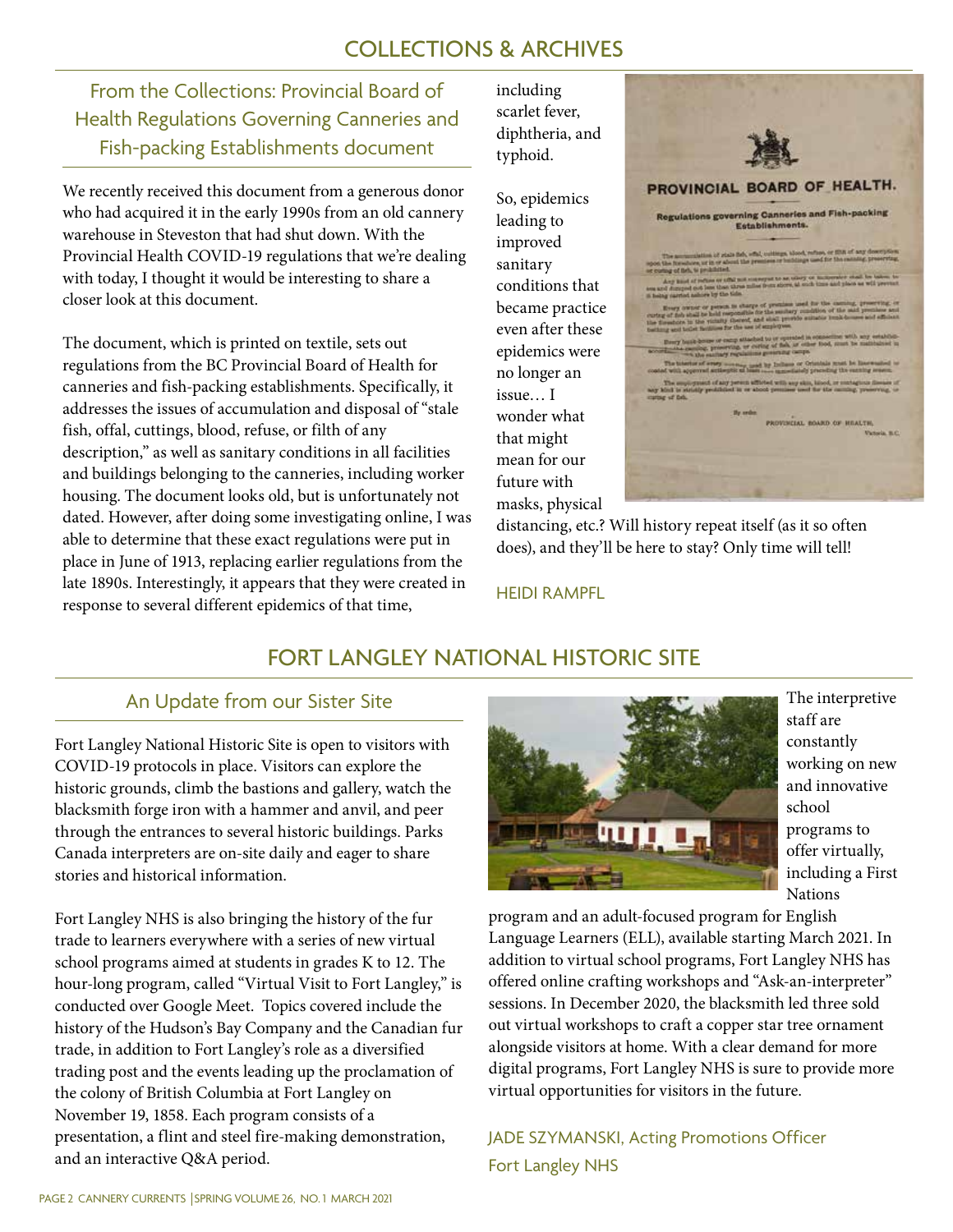## COLLECTIONS & ARCHIVES

From the Collections: Provincial Board of Health Regulations Governing Canneries and Fish-packing Establishments document

We recently received this document from a generous donor who had acquired it in the early 1990s from an old cannery warehouse in Steveston that had shut down. With the Provincial Health COVID-19 regulations that we're dealing with today, I thought it would be interesting to share a closer look at this document.

The document, which is printed on textile, sets out regulations from the BC Provincial Board of Health for canneries and fish-packing establishments. Specifically, it addresses the issues of accumulation and disposal of "stale fish, offal, cuttings, blood, refuse, or filth of any description," as well as sanitary conditions in all facilities and buildings belonging to the canneries, including worker housing. The document looks old, but is unfortunately not dated. However, after doing some investigating online, I was able to determine that these exact regulations were put in place in June of 1913, replacing earlier regulations from the late 1890s. Interestingly, it appears that they were created in response to several different epidemics of that time,

including scarlet fever, diphtheria, and typhoid.

So, epidemics leading to improved sanitary conditions that became practice even after these epidemics were no longer an issue… I wonder what that might mean for our future with masks, physical



distancing, etc.? Will history repeat itself (as it so often does), and they'll be here to stay? Only time will tell!

#### HEIDI RAMPFL

## FORT LANGLEY NATIONAL HISTORIC SITE

## An Update from our Sister Site

Fort Langley National Historic Site is open to visitors with COVID-19 protocols in place. Visitors can explore the historic grounds, climb the bastions and gallery, watch the blacksmith forge iron with a hammer and anvil, and peer through the entrances to several historic buildings. Parks Canada interpreters are on-site daily and eager to share stories and historical information.

Fort Langley NHS is also bringing the history of the fur trade to learners everywhere with a series of new virtual school programs aimed at students in grades K to 12. The hour-long program, called "Virtual Visit to Fort Langley," is conducted over Google Meet. Topics covered include the history of the Hudson's Bay Company and the Canadian fur trade, in addition to Fort Langley's role as a diversified trading post and the events leading up the proclamation of the colony of British Columbia at Fort Langley on November 19, 1858. Each program consists of a presentation, a flint and steel fire-making demonstration, and an interactive Q&A period.



The interpretive staff are constantly working on new and innovative school programs to offer virtually, including a First Nations

program and an adult-focused program for English Language Learners (ELL), available starting March 2021. In addition to virtual school programs, Fort Langley NHS has offered online crafting workshops and "Ask-an-interpreter" sessions. In December 2020, the blacksmith led three sold out virtual workshops to craft a copper star tree ornament alongside visitors at home. With a clear demand for more digital programs, Fort Langley NHS is sure to provide more virtual opportunities for visitors in the future.

JADE SZYMANSKI, Acting Promotions Officer Fort Langley NHS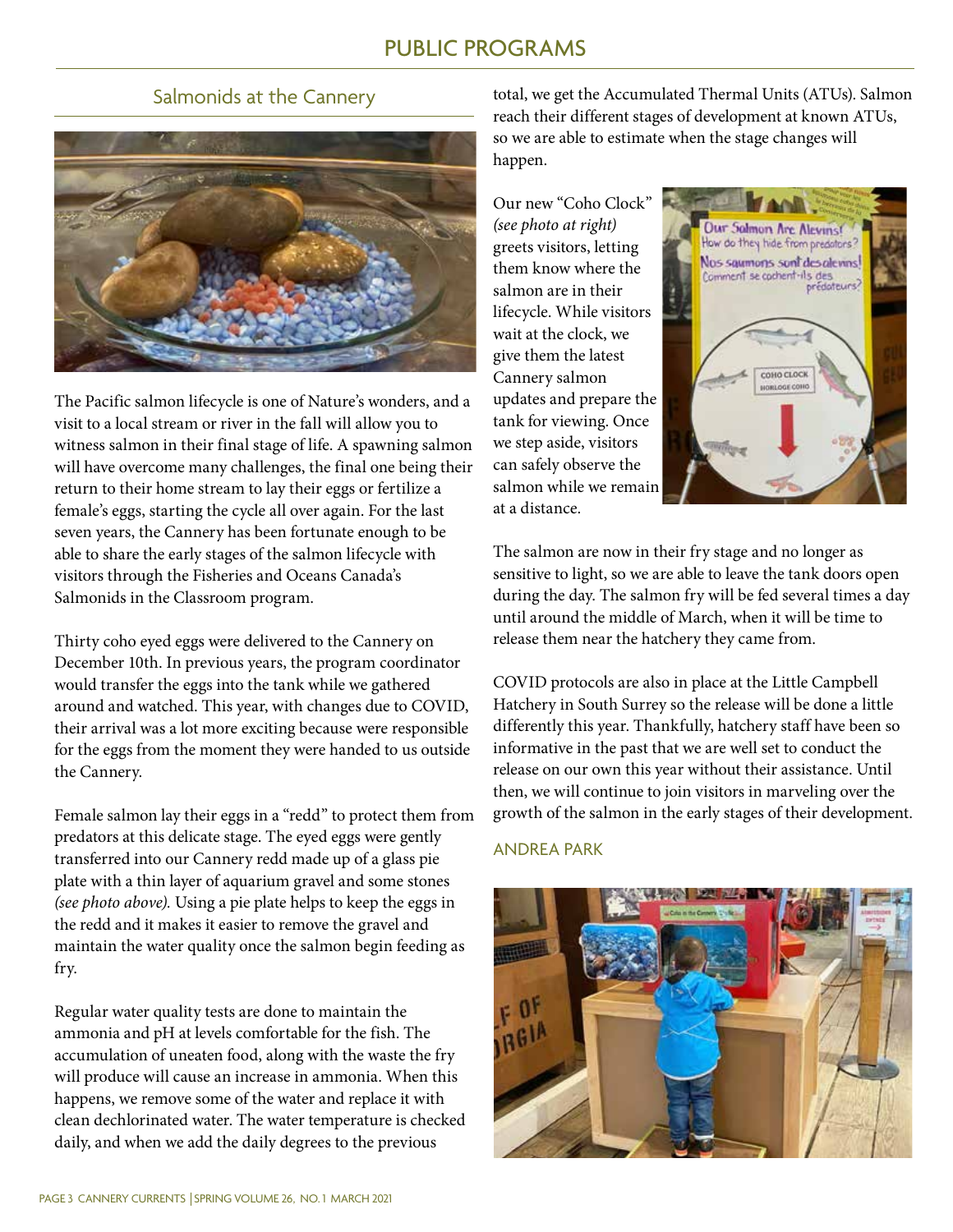## Salmonids at the Cannery



The Pacific salmon lifecycle is one of Nature's wonders, and a visit to a local stream or river in the fall will allow you to witness salmon in their final stage of life. A spawning salmon will have overcome many challenges, the final one being their return to their home stream to lay their eggs or fertilize a female's eggs, starting the cycle all over again. For the last seven years, the Cannery has been fortunate enough to be able to share the early stages of the salmon lifecycle with visitors through the Fisheries and Oceans Canada's Salmonids in the Classroom program.

Thirty coho eyed eggs were delivered to the Cannery on December 10th. In previous years, the program coordinator would transfer the eggs into the tank while we gathered around and watched. This year, with changes due to COVID, their arrival was a lot more exciting because were responsible for the eggs from the moment they were handed to us outside the Cannery.

Female salmon lay their eggs in a "redd" to protect them from predators at this delicate stage. The eyed eggs were gently transferred into our Cannery redd made up of a glass pie plate with a thin layer of aquarium gravel and some stones *(see photo above).* Using a pie plate helps to keep the eggs in the redd and it makes it easier to remove the gravel and maintain the water quality once the salmon begin feeding as fry.

Regular water quality tests are done to maintain the ammonia and pH at levels comfortable for the fish. The accumulation of uneaten food, along with the waste the fry will produce will cause an increase in ammonia. When this happens, we remove some of the water and replace it with clean dechlorinated water. The water temperature is checked daily, and when we add the daily degrees to the previous

total, we get the Accumulated Thermal Units (ATUs). Salmon reach their different stages of development at known ATUs, so we are able to estimate when the stage changes will happen.

Our new "Coho Clock" *(see photo at right)*  greets visitors, letting them know where the salmon are in their lifecycle. While visitors wait at the clock, we give them the latest Cannery salmon updates and prepare the tank for viewing. Once we step aside, visitors can safely observe the salmon while we remain at a distance.



The salmon are now in their fry stage and no longer as sensitive to light, so we are able to leave the tank doors open during the day. The salmon fry will be fed several times a day until around the middle of March, when it will be time to release them near the hatchery they came from.

COVID protocols are also in place at the Little Campbell Hatchery in South Surrey so the release will be done a little differently this year. Thankfully, hatchery staff have been so informative in the past that we are well set to conduct the release on our own this year without their assistance. Until then, we will continue to join visitors in marveling over the growth of the salmon in the early stages of their development.

#### ANDREA PARK